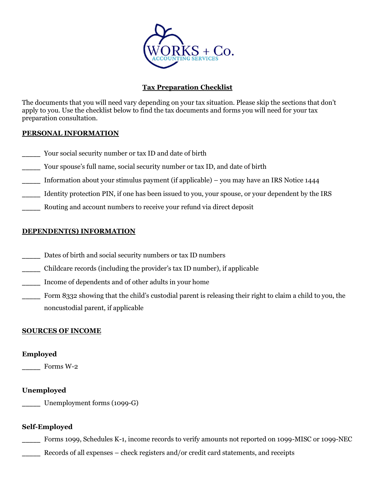

# **Tax Preparation Checklist**

The documents that you will need vary depending on your tax situation. Please skip the sections that don't apply to you. Use the checklist below to find the tax documents and forms you will need for your tax preparation consultation.

# **PERSONAL INFORMATION**

- Your social security number or tax ID and date of birth
- Your spouse's full name, social security number or tax ID, and date of birth
- Information about your stimulus payment (if applicable) you may have an IRS Notice  $1444$
- \_\_\_\_\_ Identity protection PIN, if one has been issued to you, your spouse, or your dependent by the IRS
- Routing and account numbers to receive your refund via direct deposit

# **DEPENDENT(S) INFORMATION**

- Dates of birth and social security numbers or tax ID numbers
- \_\_\_\_\_ Childcare records (including the provider's tax ID number), if applicable
- \_\_\_\_\_ Income of dependents and of other adults in your home
- Form 8332 showing that the child's custodial parent is releasing their right to claim a child to you, the noncustodial parent, if applicable

# **SOURCES OF INCOME**

# **Employed**

Forms W-2

# **Unemployed**

Unemployment forms (1099-G)

# **Self-Employed**

Forms 1099, Schedules K-1, income records to verify amounts not reported on 1099-MISC or 1099-NEC

\_\_\_\_\_ Records of all expenses – check registers and/or credit card statements, and receipts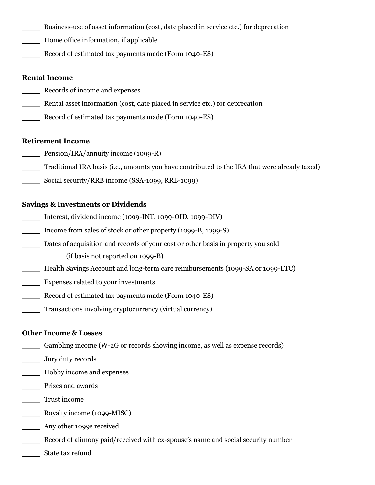- Business-use of asset information (cost, date placed in service etc.) for deprecation
- Home office information, if applicable
- Record of estimated tax payments made (Form 1040-ES)

## **Rental Income**

- \_\_\_\_\_ Records of income and expenses
- Rental asset information (cost, date placed in service etc.) for deprecation
- Record of estimated tax payments made (Form 1040-ES)

### **Retirement Income**

- Pension/IRA/annuity income (1099-R)
- \_\_\_\_\_ Traditional IRA basis (i.e., amounts you have contributed to the IRA that were already taxed)
- Social security/RRB income (SSA-1099, RRB-1099)

### **Savings & Investments or Dividends**

- \_\_\_\_\_ Interest, dividend income (1099-INT, 1099-OID, 1099-DIV)
- Income from sales of stock or other property (1099-B, 1099-S)
- Dates of acquisition and records of your cost or other basis in property you sold (if basis not reported on 1099-B)
- Health Savings Account and long-term care reimbursements (1099-SA or 1099-LTC)
- \_\_\_\_\_ Expenses related to your investments
- Record of estimated tax payments made (Form 1040-ES)
- Transactions involving cryptocurrency (virtual currency)

### **Other Income & Losses**

- Gambling income (W-2G or records showing income, as well as expense records)
- \_\_\_\_\_ Jury duty records
- \_\_\_\_\_ Hobby income and expenses
- \_\_\_\_\_ Prizes and awards
- \_\_\_\_\_ Trust income
- Royalty income (1099-MISC)
- \_\_\_\_\_ Any other 1099s received
- \_\_\_\_\_ Record of alimony paid/received with ex-spouse's name and social security number
- \_\_\_\_\_ State tax refund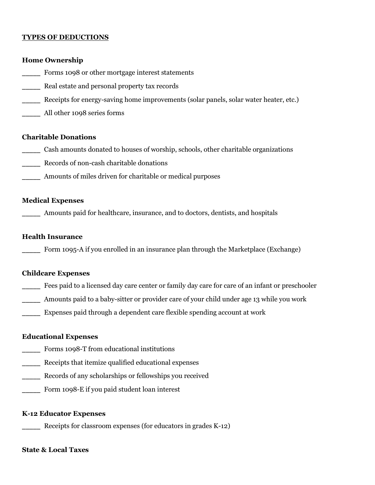## **TYPES OF DEDUCTIONS**

### **Home Ownership**

- Forms 1098 or other mortgage interest statements
- Real estate and personal property tax records
- Receipts for energy-saving home improvements (solar panels, solar water heater, etc.)
- \_\_\_\_\_ All other 1098 series forms

### **Charitable Donations**

- \_\_\_\_\_ Cash amounts donated to houses of worship, schools, other charitable organizations
- \_\_\_\_\_ Records of non-cash charitable donations
- Amounts of miles driven for charitable or medical purposes

### **Medical Expenses**

\_\_\_\_\_ Amounts paid for healthcare, insurance, and to doctors, dentists, and hospitals

## **Health Insurance**

Form 1095-A if you enrolled in an insurance plan through the Marketplace (Exchange)

### **Childcare Expenses**

- Fees paid to a licensed day care center or family day care for care of an infant or preschooler
- Amounts paid to a baby-sitter or provider care of your child under age 13 while you work
- \_\_\_\_\_ Expenses paid through a dependent care flexible spending account at work

### **Educational Expenses**

- Forms 1098-T from educational institutions
- \_\_\_\_\_ Receipts that itemize qualified educational expenses
- \_\_\_\_\_ Records of any scholarships or fellowships you received
- Form 1098-E if you paid student loan interest

### **K-12 Educator Expenses**

Receipts for classroom expenses (for educators in grades K-12)

#### **State & Local Taxes**